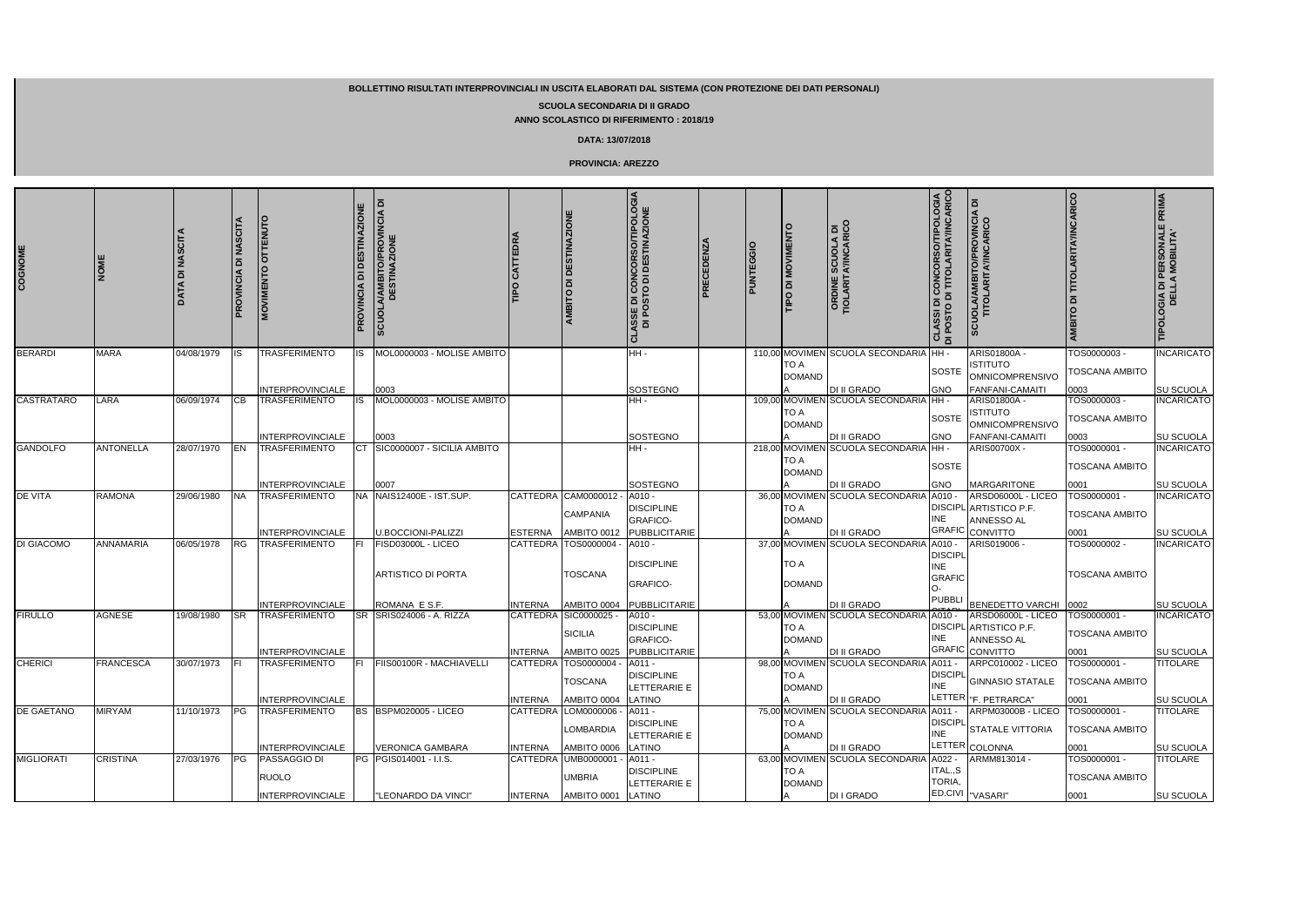| COGNOME           | <b>NOM</b>       | <b>DATA DI NASCIT</b> | <b>NASCITA</b><br>$\overline{\mathbf{a}}$<br>PROVINCIA | <b>MOVIMENTO OTTENUTO</b>                       | <b>DI DESTINAZIONE</b><br><b>PROVINCIA</b> | ᅙ<br>A/AMBITO/PROVINCIA I<br>DESTINAZIONE<br><b>SCUOL</b> |                            | <b>AMBITO DI DESTINAZIONE</b>                 | <b>ASSE DI CONCORSO/TIPOLOGIA<br/>DI POSTO DI DESTINAZIONE</b>         | <b>PRECEDENZA</b> | PUNTEGGIO | <b>THE DIMOVIMENT</b>        | <b>ORDINE SCUOLA DI<br/>TIOLARITAYINCARICO</b>        | <b>CLASSI DI CONCORSO/TIPOLOGIA</b><br>DI POSTO DI TITOLARITA′/INCARICO | SCUOLA/AMBITO/PROVINCIA DI<br>TITOLARITA/INCARICO              | <b>AMBITO DI TITOLARITA'/INCARICO</b>         | OGIA DI PERSONALE PRIMA<br>DELLA MOBILITA' |
|-------------------|------------------|-----------------------|--------------------------------------------------------|-------------------------------------------------|--------------------------------------------|-----------------------------------------------------------|----------------------------|-----------------------------------------------|------------------------------------------------------------------------|-------------------|-----------|------------------------------|-------------------------------------------------------|-------------------------------------------------------------------------|----------------------------------------------------------------|-----------------------------------------------|--------------------------------------------|
| <b>BERARDI</b>    | <b>MARA</b>      | 04/08/1979            | IS                                                     | TRASFERIMENTO                                   | IS                                         | MOL0000003 - MOLISE AMBITO                                |                            |                                               | HH-                                                                    |                   |           | <b>TO A</b><br><b>DOMAND</b> | 110,00 MOVIMEN SCUOLA SECONDARIA                      | HH-<br><b>SOSTE</b>                                                     | <b>ARIS01800A</b><br>Istituto<br><b>OMNICOMPRENSIVO</b>        | TOS0000003-<br>TOSCANA AMBITO                 | <b>INCARICATO</b>                          |
|                   |                  |                       |                                                        | <b>INTERPROVINCIALE</b>                         |                                            | 0003                                                      |                            |                                               | SOSTEGNO                                                               |                   |           |                              | <b>DI II GRADO</b>                                    | <b>GNO</b>                                                              | FANFANI-CAMAITI                                                | 0003                                          | SU SCUOLA                                  |
| <b>CASTRATARO</b> | LARA             | 06/09/1974            | CВ                                                     | <b>TRASFERIMENTO</b>                            |                                            | MOL0000003 - MOLISE AMBITO                                |                            |                                               | HH -                                                                   |                   |           | <b>TO A</b><br><b>DOMAND</b> | 109,00 MOVIMEN SCUOLA SECONDARIA                      | HH-<br>SOSTE                                                            | ARIS01800A -<br><b>ISTITUTO</b><br><b>OMNICOMPRENSIVO</b>      | TOS0000003 -<br>TOSCANA AMBITO                | <b>INCARICATO</b>                          |
|                   |                  |                       |                                                        | <b>INTERPROVINCIALE</b>                         |                                            | 0003                                                      |                            |                                               | SOSTEGNO                                                               |                   |           |                              | <b>DI II GRADO</b>                                    | GNO                                                                     | FANFANI-CAMAITI                                                | 0003                                          | SU SCUOLA                                  |
| <b>GANDOLFO</b>   | <b>ANTONELLA</b> | 28/07/1970            | EN                                                     | TRASFERIMENTO                                   |                                            | SIC0000007 - SICILIA AMBITO                               |                            |                                               | HH-                                                                    |                   |           | <b>TO A</b><br><b>DOMAND</b> | 218,00 MOVIMEN SCUOLA SECONDARIA                      | HH -<br><b>SOSTE</b>                                                    | ARIS00700X -                                                   | TOS0000001-<br><b>TOSCANA AMBITO</b>          | <b>INCARICATO</b>                          |
|                   |                  |                       |                                                        | <b>INTERPROVINCIALE</b>                         |                                            | 0007                                                      |                            |                                               | SOSTEGNO                                                               |                   |           |                              | <b>DI II GRADO</b>                                    | <b>GNO</b>                                                              | <b>MARGARITONE</b>                                             | 0001                                          | SU SCUOLA                                  |
| <b>DE VITA</b>    | RAMONA           | 29/06/1980            | <b>NA</b>                                              | TRASFERIMENTO                                   |                                            | NA NAIS12400E - IST.SUP.                                  |                            | CATTEDRA CAM0000012<br><b>CAMPANIA</b>        | A010 -<br><b>DISCIPLINE</b><br><b>GRAFICO-</b>                         |                   |           | <b>TO A</b><br><b>DOMAND</b> | 36,00 MOVIMEN SCUOLA SECONDARIA                       | A010 -<br><b>DISCIPL</b><br><b>INE</b>                                  | ARSD06000L - LICEO<br>ARTISTICO P.F.<br>ANNESSO AL             | TOS0000001 -<br><b>TOSCANA AMBITO</b>         | <b>INCARICATO</b>                          |
|                   |                  |                       |                                                        | <b>INTERPROVINCIALE</b>                         |                                            | <b>U.BOCCIONI-PALIZZI</b>                                 | <b>ESTERNA</b>             | AMBITO 0012                                   | PUBBLICITARIE                                                          |                   |           |                              | DI II GRADO                                           | <b>GRAFIC</b>                                                           | CONVITTO                                                       | 0001                                          | SU SCUOLA                                  |
| DI GIACOMO        | <b>ANNAMARIA</b> | 06/05/1978            | <b>RG</b>                                              | <b>TRASFERIMENTO</b>                            |                                            | FISD03000L - LICEO<br><b>ARTISTICO DI PORTA</b>           | <b>CATTEDRA</b>            | TOS0000004<br><b>TOSCANA</b>                  | A010 -<br><b>DISCIPLINE</b><br><b>GRAFICO-</b>                         |                   |           | <b>TO A</b><br><b>DOMAND</b> | 37,00 MOVIMEN SCUOLA SECONDARIA                       | A010 -<br><b>DISCIPL</b><br><b>INE</b><br><b>GRAFIC</b>                 | ARIS019006                                                     | TOS0000002-<br><b>TOSCANA AMBITO</b>          | <b>INCARICATO</b>                          |
|                   |                  |                       |                                                        | <b>INTERPROVINCIALE</b>                         |                                            | ROMANA E S.F.                                             | <b>INTERNA</b>             | AMBITO 0004                                   | PUBBLICITARIE                                                          |                   |           |                              | <b>DI II GRADO</b>                                    | <b>PUBBLI</b>                                                           | <b>BENEDETTO VARCHI</b>                                        | 0002                                          | SU SCUOLA                                  |
| <b>FIRULLO</b>    | <b>AGNESE</b>    | 19/08/1980            | <b>SR</b>                                              | <b>TRASFERIMENTO</b><br><b>INTERPROVINCIALE</b> |                                            | SR SRIS024006 - A. RIZZA                                  | CATTEDRA<br><b>INTERNA</b> | SIC0000025 -<br><b>SICILIA</b><br>AMBITO 0025 | A010 -<br><b>DISCIPLINE</b><br><b>GRAFICO-</b><br><b>PUBBLICITARIE</b> |                   |           | TO A<br><b>DOMAND</b>        | 53.00 MOVIMEN SCUOLA SECONDARIA<br><b>DI II GRADO</b> | A010 -<br><b>DISCIPL</b><br>INE<br><b>GRAFIC</b>                        | ARSD06000L - LICEO<br>ARTISTICO P.F.<br>ANNESSO AL<br>CONVITTO | TOS0000001 -<br><b>TOSCANA AMBITO</b><br>0001 | <b>INCARICATO</b><br>SU SCUOLA             |
| <b>CHERICI</b>    | <b>FRANCESCA</b> | 30/07/1973            |                                                        | TRASFERIMENTO                                   | FL                                         | FIIS00100R - MACHIAVELLI                                  | CATTEDRA                   | TOS0000004                                    | A011 -                                                                 |                   |           |                              | 98,00 MOVIMEN SCUOLA SECONDARIA                       | $A011 -$                                                                | <b>ARPC010002 - LICEO</b>                                      | TOS0000001 -                                  | TITOLARE                                   |
|                   |                  |                       |                                                        |                                                 |                                            |                                                           |                            | <b>TOSCANA</b>                                | <b>DISCIPLINE</b><br>LETTERARIE E                                      |                   |           | <b>TO A</b><br><b>DOMAND</b> |                                                       |                                                                         | DISCIPL<br>NIF GINNASIO STATALE                                | <b>TOSCANA AMBITO</b>                         |                                            |
|                   |                  |                       |                                                        | <b>INTERPROVINCIALE</b>                         |                                            |                                                           | <b>INTERNA</b>             | AMBITO 0004                                   | LATINO                                                                 |                   |           |                              | <b>DI II GRADO</b>                                    |                                                                         | LETTER   "F. PETRARCA"                                         | 0001                                          | SU SCUOLA                                  |
| <b>DE GAETANO</b> | <b>MIRYAM</b>    | 11/10/1973            | PG                                                     | <b>TRASFERIMENTO</b>                            |                                            | BS BSPM020005 - LICEO                                     | CATTEDRA                   | LOM0000006<br>LOMBARDIA                       | A011 -<br><b>DISCIPLINE</b><br>LETTERARIE E                            |                   |           | TO A<br><b>DOMAND</b>        | 75,00 MOVIMEN SCUOLA SECONDARIA                       | A011 -<br><b>DISCIPL</b><br><b>INE</b>                                  | ARPM03000B - LICEO<br>STATALE VITTORIA                         | TOS0000001-<br><b>TOSCANA AMBITO</b>          | TITOLARE                                   |
|                   |                  |                       |                                                        | <b>INTERPROVINCIALE</b>                         |                                            | <b>VERONICA GAMBARA</b>                                   | <b>INTERNA</b>             | AMBITO 0006                                   | LATINO                                                                 |                   |           |                              | DI II GRADO                                           |                                                                         | LETTER COLONNA                                                 | 0001                                          | SU SCUOLA                                  |
| <b>MIGLIORATI</b> | <b>CRISTINA</b>  | 27/03/1976            | PG                                                     | <b>PASSAGGIO DI</b><br><b>RUOLO</b>             |                                            | PG PGIS014001 - I.I.S.                                    |                            | CATTEDRA UMB0000001<br><b>UMBRIA</b>          | A011 -<br><b>DISCIPLINE</b><br>LETTERARIE E                            |                   |           | <b>TO A</b><br><b>DOMAND</b> | 63,00 MOVIMEN SCUOLA SECONDARIA                       | A022 -<br>ITAL.,S<br>TORIA,                                             | ARMM813014 -                                                   | TOS0000001 -<br><b>TOSCANA AMBITO</b>         | <b>TITOLARE</b>                            |
|                   |                  |                       |                                                        | <b>INTERPROVINCIALE</b>                         |                                            | "LEONARDO DA VINCI"                                       | <b>INTERNA</b>             | AMBITO 0001                                   | LATINO                                                                 |                   |           |                              | <b>DI I GRADO</b>                                     |                                                                         | ED.CIVI VASARI"                                                | 0001                                          | SU SCUOLA                                  |

**BOLLETTINO RISULTATI INTERPROVINCIALI IN USCITA ELABORATI DAL SISTEMA (CON PROTEZIONE DEI DATI PERSONALI)**

## **SCUOLA SECONDARIA DI II GRADO**

**ANNO SCOLASTICO DI RIFERIMENTO : 2018/19**

## **DATA: 13/07/2018**

## **PROVINCIA: AREZZO**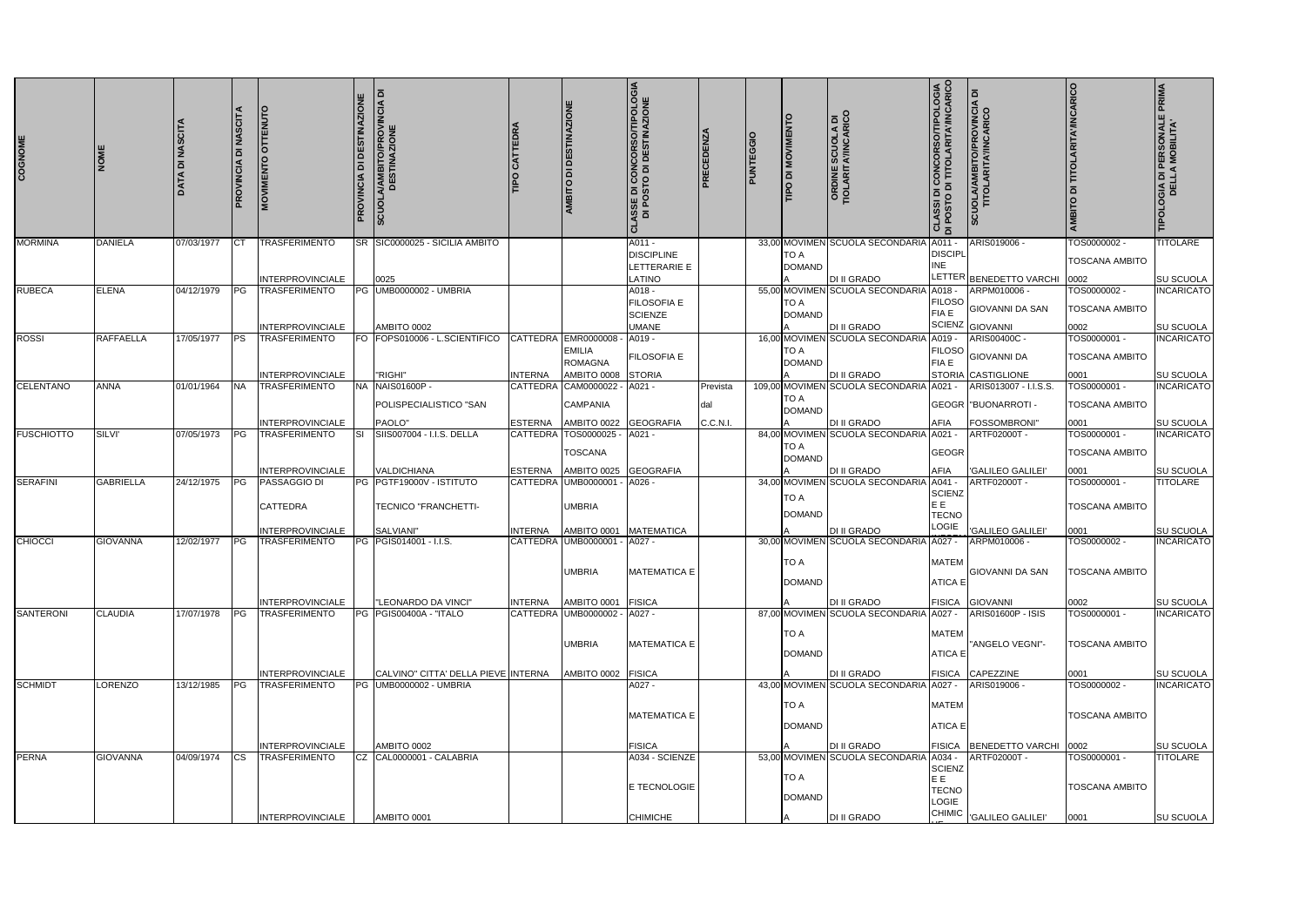| COGNOME           | <b>MON</b>       | <b>DATA DI NASCITA</b> | <b>NASCITA</b><br><b>la</b><br>PROVINCIA |                                                            | <b>DESTINAZIONE</b><br>$\overline{a}$<br>PROVINCIA | <b>SCUOLA/AMBITO/PROVINCIA DI<br/>DESTINAZIONE</b>                     |                | AMBITO DI DESTINAZIONE                                                | <b>ASSE DI CONCORSO/TIPOLOGIA<br/>DI POSTO DI DESTINAZIONE</b><br>ಕ | PRECEDENZA                  | <b>PUNTEGGIO</b> | TIPO DI MOVIMENT             | <b>ORDINE SCUOLA DI<br/>TIOLARITA'/INCARICO</b>               | <b>CLASSI DI CONCORSO/TIPOLOGIA</b><br>ADSTO DI TITOLARITA/INCARICO | <b>SCUOLA/AMBITO/PROVINCIA DI<br/>TITOLARITA/INCARICO</b>   | <b>AMBITO DI TITOLARITA'/INCARICO</b>         | TIPOLOGIA DI PERSONALE PRIMA<br>DELLA MOBILITA' |
|-------------------|------------------|------------------------|------------------------------------------|------------------------------------------------------------|----------------------------------------------------|------------------------------------------------------------------------|----------------|-----------------------------------------------------------------------|---------------------------------------------------------------------|-----------------------------|------------------|------------------------------|---------------------------------------------------------------|---------------------------------------------------------------------|-------------------------------------------------------------|-----------------------------------------------|-------------------------------------------------|
| <b>MORMINA</b>    | <b>DANIELA</b>   | 07/03/1977             | ICT                                      | <b>TRASFERIMENTO</b><br><b>INTERPROVINCIALE</b>            |                                                    | SR SIC0000025 - SICILIA AMBITO<br>0025                                 |                |                                                                       | A011 -<br><b>DISCIPLINE</b><br>LETTERARIE E<br>LATINO               |                             |                  | <b>TO A</b><br><b>DOMAND</b> | 33,00 MOVIMEN SCUOLA SECONDARIA A011 -<br><b>DI II GRADO</b>  | <b>DISCIPL</b><br>INE                                               | ARIS019006<br>LETTER BENEDETTO VARCHI                       | TOS0000002-<br><b>TOSCANA AMBITO</b><br>0002  | TITOLARE<br>SU SCUOLA                           |
| <b>RUBECA</b>     | <b>ELENA</b>     | 04/12/1979             | PG                                       | <b>TRASFERIMENTO</b><br><b>INTERPROVINCIALE</b>            | PG                                                 | <b>UMB0000002 - UMBRIA</b><br>AMBITO 0002                              |                |                                                                       | A018 -<br>FILOSOFIA E<br><b>SCIENZE</b><br><b>UMANE</b>             |                             |                  | <b>TO A</b><br><b>DOMAND</b> | 55,00 MOVIMEN SCUOLA SECONDARIA A018 -<br><b>DI II GRADO</b>  | <b>FILOSO</b><br>FIA E<br><b>SCIENZ</b>                             | ARPM010006 -<br><b>GIOVANNI DA SAN</b><br><b>GIOVANNI</b>   | TOS0000002 -<br><b>TOSCANA AMBITO</b><br>0002 | <b>INCARICATO</b><br>SU SCUOLA                  |
| <b>ROSSI</b>      | <b>RAFFAELLA</b> | 17/05/1977             | <b>PS</b>                                | <b>TRASFERIMENTO</b><br>INTERPROVINCIALE                   |                                                    | FO FOPS010006 - L.SCIENTIFICO<br>"RIGHI"                               | <b>INTERNA</b> | CATTEDRA EMR0000008<br><b>EMILIA</b><br><b>ROMAGNA</b><br>AMBITO 0008 | A019 -<br>FILOSOFIA E<br><b>STORIA</b>                              |                             |                  | <b>TO A</b><br><b>DOMAND</b> | 16,00 MOVIMEN SCUOLA SECONDARIA<br><b>DI II GRADO</b>         | A019 -<br><b>FILOSO</b><br><b>FIA E</b>                             | ARIS00400C -<br><b>GIOVANNI DA</b><br>STORIA CASTIGLIONE    | TOS0000001 -<br><b>TOSCANA AMBITO</b><br>0001 | <b>INCARICATO</b><br>SU SCUOLA                  |
| <b>CELENTANO</b>  | <b>ANNA</b>      | 01/01/1964             | <b>INA</b>                               | <b>TRASFERIMENTO</b>                                       |                                                    | NA NAIS01600P -<br>POLISPECIALISTICO "SAN<br>PAOLO"                    | <b>ESTERNA</b> | CATTEDRA CAM0000022<br><b>CAMPANIA</b>                                | A021 -<br><b>GEOGRAFIA</b>                                          | Prevista<br>dal<br>C.C.N.I. |                  | TO A<br><b>DOMAND</b>        | 109,00 MOVIMEN SCUOLA SECONDARIA A021 -<br><b>DI II GRADO</b> | <b>AFIA</b>                                                         | ARIS013007 - I.I.S.S.<br><b>GEOGR   "BUONARROTI -</b>       | TOS0000001 -<br><b>TOSCANA AMBITO</b>         | <b>INCARICATO</b>                               |
| <b>FUSCHIOTTO</b> | <b>SILVI'</b>    | 07/05/1973             | <b>IPG</b>                               | <b>INTERPROVINCIALE</b><br><b>TRASFERIMENTO</b>            |                                                    | SIIS007004 - I.I.S. DELLA                                              |                | AMBITO 0022<br>CATTEDRA TOS0000025<br><b>TOSCANA</b>                  | A021 -                                                              |                             |                  | <b>TO A</b><br><b>DOMAND</b> | 84,00 MOVIMEN SCUOLA SECONDARIA A021 -                        | <b>GEOGR</b>                                                        | <b>FOSSOMBRONI</b><br>ARTF02000T -                          | 0001<br>TOS0000001 -<br><b>TOSCANA AMBITO</b> | <b>SU SCUOLA</b><br><b>INCARICATO</b>           |
| <b>SERAFINI</b>   | <b>GABRIELLA</b> | 24/12/1975             | PG                                       | INTERPROVINCIALE<br><b>PASSAGGIO DI</b><br><b>CATTEDRA</b> |                                                    | <b>VALDICHIANA</b><br>PG PGTF19000V - ISTITUTO<br>TECNICO "FRANCHETTI- | <b>ESTERNA</b> | AMBITO 0025<br>CATTEDRA UMB0000001<br><b>UMBRIA</b>                   | <b>GEOGRAFIA</b><br>A026 -                                          |                             |                  | <b>TO A</b><br><b>DOMAND</b> | <b>DI II GRADO</b><br>34,00 MOVIMEN SCUOLA SECONDARIA A041 -  | <b>AFIA</b><br><b>SCIENZ</b><br>E E<br><b>TECNO</b>                 | <b>GALILEO GALILEI</b><br><b>ARTF02000T</b>                 | 0001<br>TOS0000001 -<br>TOSCANA AMBITO        | SU SCUOLA<br><b>TITOLARE</b>                    |
| <b>CHIOCCI</b>    | <b>GIOVANNA</b>  | 12/02/1977             | PG                                       | <b>INTERPROVINCIALE</b><br><b>TRASFERIMENTO</b>            |                                                    | SALVIANI"<br>PG PGIS014001 - I.I.S.                                    | <b>INTERNA</b> | AMBITO 0001<br>CATTEDRA UMB0000001<br><b>UMBRIA</b>                   | <b>MATEMATICA</b><br>A027 -<br>MATEMATICA E                         |                             |                  | <b>TO A</b><br><b>DOMAND</b> | <b>DI II GRADO</b><br>30,00 MOVIMEN SCUOLA SECONDARIA A027 -  | LOGIE<br><b>MATEM</b><br><b>ATICA E</b>                             | 'GALILEO GALILEI'<br>ARPM010006 -<br><b>GIOVANNI DA SAN</b> | 0001<br>TOS0000002-<br><b>TOSCANA AMBITO</b>  | SU SCUOLA<br><b>INCARICATO</b>                  |
| <b>SANTERONI</b>  | <b>CLAUDIA</b>   | 17/07/1978             | PG                                       | INTERPROVINCIALE<br><b>TRASFERIMENTO</b>                   |                                                    | "LEONARDO DA VINCI"<br>PG PGIS00400A - "ITALO                          | <b>INTERNA</b> | AMBITO 0001<br>CATTEDRA UMB0000002 -                                  | <b>FISICA</b><br>A027 -                                             |                             |                  |                              | <b>DI II GRADO</b><br>87,00 MOVIMEN SCUOLA SECONDARIA A027 -  | <b>FISICA</b>                                                       | <b>GIOVANNI</b><br>ARIS01600P - ISIS                        | 0002<br>TOS0000001-                           | <b>SU SCUOLA</b><br><b>INCARICATO</b>           |
|                   |                  |                        |                                          |                                                            |                                                    |                                                                        |                | <b>UMBRIA</b>                                                         | <b>MATEMATICA E</b>                                                 |                             |                  | TO A<br><b>DOMAND</b>        |                                                               | <b>MATEM</b><br><b>ATICA E</b>                                      | "ANGELO VEGNI"-                                             | <b>TOSCANA AMBITO</b>                         |                                                 |
| <b>SCHMIDT</b>    | LORENZO          | 13/12/1985             | <b>IPG</b>                               | <b>INTERPROVINCIALE</b><br><b>TRASFERIMENTO</b>            | PG                                                 | CALVINO" CITTA' DELLA PIEVE INTERNA<br>UMB0000002 - UMBRIA             |                | AMBITO 0002                                                           | FISICA<br>A027 -                                                    |                             |                  |                              | <b>DI II GRADO</b><br>43,00 MOVIMEN SCUOLA SECONDARIA A027 -  | <b>FISICA</b>                                                       | CAPEZZINE<br>ARIS019006 -                                   | 0001<br>TOS0000002 -                          | <b>SU SCUOLA</b><br><b>INCARICATO</b>           |
|                   |                  |                        |                                          |                                                            |                                                    |                                                                        |                |                                                                       | <b>MATEMATICA E</b>                                                 |                             |                  | <b>TO A</b><br><b>DOMAND</b> |                                                               | <b>MATEM</b><br><b>ATICA E</b>                                      |                                                             | <b>TOSCANA AMBITO</b>                         |                                                 |
| <b>PERNA</b>      | <b>GIOVANNA</b>  | 04/09/1974             | <b>ICS</b>                               | <b>INTERPROVINCIALE</b><br><b>TRASFERIMENTO</b>            | CZ                                                 | AMBITO 0002<br>CAL0000001 - CALABRIA                                   |                |                                                                       | <b>FISICA</b><br>A034 - SCIENZE                                     |                             |                  |                              | <b>DI II GRADO</b><br>53,00 MOVIMEN SCUOLA SECONDARIA A034 -  |                                                                     | FISICA BENEDETTO VARCHI 0002<br>ARTF02000T -                | TOS0000001 -                                  | <b>SU SCUOLA</b><br><b>TITOLARE</b>             |
|                   |                  |                        |                                          |                                                            |                                                    |                                                                        |                |                                                                       | E TECNOLOGIE                                                        |                             |                  | TO A<br><b>DOMAND</b>        |                                                               | <b>SCIENZ</b><br>E E<br><b>TECNO</b><br><b>LOGIE</b>                |                                                             | <b>TOSCANA AMBITO</b>                         |                                                 |
|                   |                  |                        |                                          | <b>INTERPROVINCIALE</b>                                    |                                                    | AMBITO 0001                                                            |                |                                                                       | <b>CHIMICHE</b>                                                     |                             |                  |                              | <b>DI II GRADO</b>                                            | <b>CHIMIC</b>                                                       | <b>GALILEO GALILEI</b>                                      | 0001                                          | <b>SU SCUOLA</b>                                |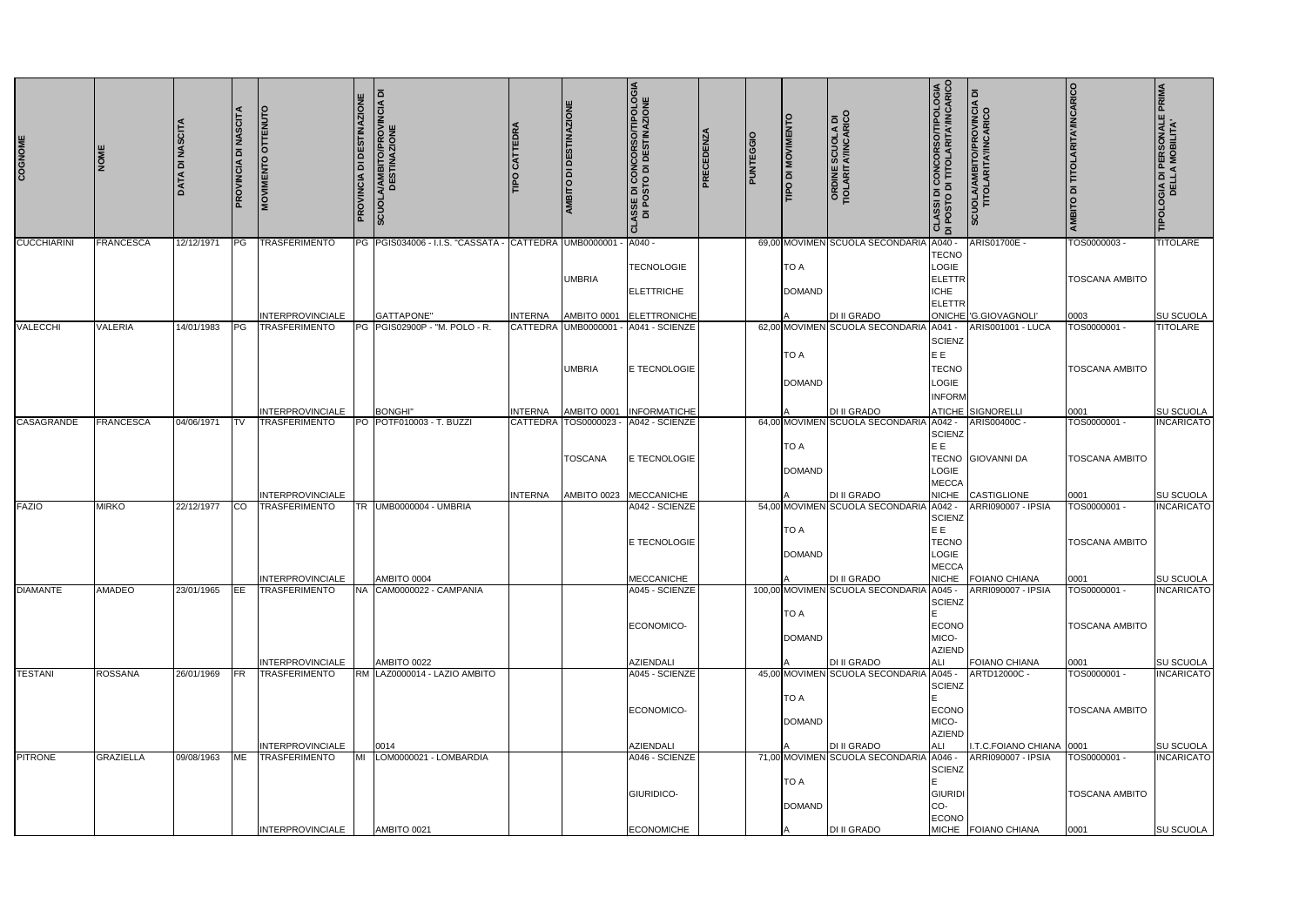| COGNOME            | <b>NOME</b>      | <b>DATA DI NASCITA</b> | PROVINCIA DI NASCITA | <b>MOVIMENTO OTTENUTO</b>                       | <b>PROVINCIA DI DESTINAZIONE</b> | ᅙ<br>A/AMBITO/PROVINCIA D<br>DESTINAZIONE<br><b>SCUOLA</b> | CATTEDR<br><b>Ddl</b> | AMBITO DI DESTINAZIONE             | <b>ISSE DI CONCORSO/TIPOLOGIA<br/>DI POSTO DI DESTINAZIONE</b><br>ō | <b>PRECEDENZA</b> | PUNTEGGIO | TIPO DI MOVIMENTO | <b>ORDINE SCUOLA DI<br/>TIOLARITA'/INCARICO</b> | <b>CLASSI DI CONCORSO/TIPOLOGIA</b><br>DI POSTO DI TITOLARITA/INCARICO | <b>SCUOLA/AMBITO/PROVINCIA DI<br/>TITOLARITA/INCARICO</b> | <b>AMBITO DI TITOLARITA'/INCARICO</b> | <b>PRIMA</b><br><b>TIPOLOGIA DI PERSONALE<br/>DELLA MOBILITA'</b> |
|--------------------|------------------|------------------------|----------------------|-------------------------------------------------|----------------------------------|------------------------------------------------------------|-----------------------|------------------------------------|---------------------------------------------------------------------|-------------------|-----------|-------------------|-------------------------------------------------|------------------------------------------------------------------------|-----------------------------------------------------------|---------------------------------------|-------------------------------------------------------------------|
| <b>CUCCHIARINI</b> | <b>FRANCESCA</b> | 12/12/1971             | PG                   | <b>TRASFERIMENTO</b>                            |                                  | PG PGIS034006 - I.I.S. "CASSATA - CATTEDRA UMB0000001      |                       |                                    | A040 -                                                              |                   |           |                   | 69,00 MOVIMEN SCUOLA SECONDARIA                 | A040 -<br><b>TECNO</b>                                                 | ARIS01700E -                                              | TOS0000003-                           | <b>TITOLARE</b>                                                   |
|                    |                  |                        |                      |                                                 |                                  |                                                            |                       |                                    | <b>TECNOLOGIE</b>                                                   |                   |           | <b>TO A</b>       |                                                 | LOGIE                                                                  |                                                           |                                       |                                                                   |
|                    |                  |                        |                      |                                                 |                                  |                                                            |                       | <b>UMBRIA</b>                      | <b>ELETTRICHE</b>                                                   |                   |           | <b>DOMAND</b>     |                                                 | ELETTR<br><b>ICHE</b>                                                  |                                                           | <b>TOSCANA AMBITO</b>                 |                                                                   |
|                    |                  |                        |                      |                                                 |                                  |                                                            |                       |                                    |                                                                     |                   |           |                   |                                                 | ELETTR                                                                 |                                                           |                                       |                                                                   |
| <b>VALECCHI</b>    | <b>VALERIA</b>   | 14/01/1983             | PG                   | <b>INTERPROVINCIALE</b><br><b>TRASFERIMENTO</b> |                                  | GATTAPONE"<br>PG PGIS02900P - "M. POLO - R.                | <b>INTERNA</b>        | AMBITO 0001<br>CATTEDRA UMB0000001 | ELETTRONICHE<br>- A041 - SCIENZE                                    |                   |           |                   | DI II GRADO<br>62,00 MOVIMEN SCUOLA SECONDARIA  | A041 -                                                                 | ONICHE G.GIOVAGNOLI'<br><b>ARIS001001 - LUCA</b>          | 0003<br>TOS0000001-                   | SU SCUOLA<br><b>TITOLARE</b>                                      |
|                    |                  |                        |                      |                                                 |                                  |                                                            |                       |                                    |                                                                     |                   |           |                   |                                                 | SCIENZ                                                                 |                                                           |                                       |                                                                   |
|                    |                  |                        |                      |                                                 |                                  |                                                            |                       |                                    |                                                                     |                   |           | <b>TO A</b>       |                                                 | E E                                                                    |                                                           |                                       |                                                                   |
|                    |                  |                        |                      |                                                 |                                  |                                                            |                       | <b>UMBRIA</b>                      | E TECNOLOGIE                                                        |                   |           |                   |                                                 | <b>TECNO</b><br>LOGIE                                                  |                                                           | <b>TOSCANA AMBITO</b>                 |                                                                   |
|                    |                  |                        |                      |                                                 |                                  |                                                            |                       |                                    |                                                                     |                   |           | <b>DOMAND</b>     |                                                 | <b>INFORM</b>                                                          |                                                           |                                       |                                                                   |
|                    |                  |                        |                      | <b>INTERPROVINCIALE</b>                         |                                  | <b>BONGHI</b>                                              | <b>INTERNA</b>        | AMBITO 0001                        | <b>INFORMATICHE</b>                                                 |                   |           |                   | DI II GRADO                                     |                                                                        | ATICHE SIGNORELLI                                         | 0001                                  | SU SCUOLA                                                         |
| CASAGRANDE         | <b>FRANCESCA</b> | 04/06/1971             | <b>ITV</b>           | <b>TRASFERIMENTO</b>                            |                                  | PO POTF010003 - T. BUZZI                                   |                       | CATTEDRA TOS0000023                | A042 - SCIENZE                                                      |                   |           |                   | 64,00 MOVIMEN SCUOLA SECONDARI                  | A042 -<br><b>SCIENZ</b>                                                | ARIS00400C -                                              | TOS0000001-                           | <b>INCARICATO</b>                                                 |
|                    |                  |                        |                      |                                                 |                                  |                                                            |                       |                                    |                                                                     |                   |           | TO A              |                                                 | E E                                                                    |                                                           |                                       |                                                                   |
|                    |                  |                        |                      |                                                 |                                  |                                                            |                       | <b>TOSCANA</b>                     | E TECNOLOGIE                                                        |                   |           | <b>DOMAND</b>     |                                                 | LOGIE                                                                  | <b>TECNO GIOVANNI DA</b>                                  | <b>TOSCANA AMBITO</b>                 |                                                                   |
|                    |                  |                        |                      |                                                 |                                  |                                                            |                       |                                    |                                                                     |                   |           |                   |                                                 | <b>MECCA</b>                                                           |                                                           |                                       |                                                                   |
| <b>FAZIO</b>       | <b>MIRKO</b>     | 22/12/1977             | <b>CO</b>            | <b>INTERPROVINCIALE</b><br><b>TRASFERIMENTO</b> |                                  | TR UMB0000004 - UMBRIA                                     | <b>INTERNA</b>        |                                    | AMBITO 0023 MECCANICHE<br>A042 - SCIENZE                            |                   |           |                   | DI II GRADO<br>54,00 MOVIMEN SCUOLA SECONDARIA  | <b>NICHE</b><br>A042 -                                                 | CASTIGLIONE<br>ARRI090007 - IPSIA                         | 0001<br>TOS0000001-                   | SU SCUOLA<br><b>INCARICATO</b>                                    |
|                    |                  |                        |                      |                                                 |                                  |                                                            |                       |                                    |                                                                     |                   |           |                   |                                                 | <b>SCIENZ</b>                                                          |                                                           |                                       |                                                                   |
|                    |                  |                        |                      |                                                 |                                  |                                                            |                       |                                    | <b>E TECNOLOGIE</b>                                                 |                   |           | TO A              |                                                 | E E<br>TECNO                                                           |                                                           | <b>TOSCANA AMBITO</b>                 |                                                                   |
|                    |                  |                        |                      |                                                 |                                  |                                                            |                       |                                    |                                                                     |                   |           | <b>DOMAND</b>     |                                                 | LOGIE                                                                  |                                                           |                                       |                                                                   |
|                    |                  |                        |                      | <b>INTERPROVINCIALE</b>                         |                                  | AMBITO 0004                                                |                       |                                    | <b>MECCANICHE</b>                                                   |                   |           |                   | <b>DI II GRADO</b>                              | <b>MECCA</b>                                                           | NICHE FOIANO CHIANA                                       | 0001                                  | <b>SU SCUOLA</b>                                                  |
| <b>DIAMANTE</b>    | <b>AMADEO</b>    | 23/01/1965             | EE                   | <b>TRASFERIMENTO</b>                            |                                  | NA CAM0000022 - CAMPANIA                                   |                       |                                    | A045 - SCIENZE                                                      |                   |           |                   | 100,00 MOVIMEN SCUOLA SECONDARIA                | A045 -<br>SCIENZ                                                       | ARRI090007 - IPSIA                                        | TOS0000001 -                          | <b>INCARICATO</b>                                                 |
|                    |                  |                        |                      |                                                 |                                  |                                                            |                       |                                    |                                                                     |                   |           | <b>TO A</b>       |                                                 |                                                                        |                                                           |                                       |                                                                   |
|                    |                  |                        |                      |                                                 |                                  |                                                            |                       |                                    | ECONOMICO-                                                          |                   |           | <b>DOMAND</b>     |                                                 | <b>ECONO</b><br>MICO-                                                  |                                                           | <b>TOSCANA AMBITO</b>                 |                                                                   |
|                    |                  |                        |                      |                                                 |                                  |                                                            |                       |                                    |                                                                     |                   |           |                   |                                                 | <b>AZIEND</b>                                                          |                                                           |                                       |                                                                   |
| <b>TESTANI</b>     | <b>ROSSANA</b>   | 26/01/1969             | <b>IFR</b>           | <b>INTERPROVINCIALE</b><br><b>TRASFERIMENTO</b> |                                  | AMBITO 0022<br>RM LAZ0000014 - LAZIO AMBITO                |                       |                                    | AZIENDALI<br>A045 - SCIENZE                                         |                   |           |                   | DI II GRADO<br>45,00 MOVIMEN SCUOLA SECONDARI   | ALI<br>A045 -                                                          | FOIANO CHIANA<br>ARTD12000C -                             | 0001<br>TOS0000001 -                  | <b>SU SCUOLA</b><br><b>INCARICATO</b>                             |
|                    |                  |                        |                      |                                                 |                                  |                                                            |                       |                                    |                                                                     |                   |           |                   |                                                 | SCIENZ                                                                 |                                                           |                                       |                                                                   |
|                    |                  |                        |                      |                                                 |                                  |                                                            |                       |                                    | ECONOMICO-                                                          |                   |           | TO A              |                                                 | <b>ECONO</b>                                                           |                                                           | <b>TOSCANA AMBITO</b>                 |                                                                   |
|                    |                  |                        |                      |                                                 |                                  |                                                            |                       |                                    |                                                                     |                   |           | <b>DOMAND</b>     |                                                 | MICO-                                                                  |                                                           |                                       |                                                                   |
|                    |                  |                        |                      | <b>INTERPROVINCIALE</b>                         |                                  | 0014                                                       |                       |                                    | AZIENDALI                                                           |                   |           |                   | DI II GRADO                                     | <b>AZIEND</b><br><b>ALI</b>                                            | I.T.C.FOIANO CHIANA 0001                                  |                                       | SU SCUOLA                                                         |
| <b>PITRONE</b>     | <b>GRAZIELLA</b> | 09/08/1963             | <b>ME</b>            | <b>TRASFERIMENTO</b>                            | MI                               | LOM0000021 - LOMBARDIA                                     |                       |                                    | A046 - SCIENZE                                                      |                   |           |                   | 71,00 MOVIMEN SCUOLA SECONDARIA                 | A046 -                                                                 | ARRI090007 - IPSIA                                        | TOS0000001 -                          | <b>INCARICATO</b>                                                 |
|                    |                  |                        |                      |                                                 |                                  |                                                            |                       |                                    |                                                                     |                   |           | <b>TO A</b>       |                                                 | SCIENZ                                                                 |                                                           |                                       |                                                                   |
|                    |                  |                        |                      |                                                 |                                  |                                                            |                       |                                    | GIURIDICO-                                                          |                   |           |                   |                                                 | GIURIDI                                                                |                                                           | <b>TOSCANA AMBITO</b>                 |                                                                   |
|                    |                  |                        |                      |                                                 |                                  |                                                            |                       |                                    |                                                                     |                   |           | <b>DOMAND</b>     |                                                 | CO-<br><b>ECONO</b>                                                    |                                                           |                                       |                                                                   |
|                    |                  |                        |                      | <b>INTERPROVINCIALE</b>                         |                                  | AMBITO 0021                                                |                       |                                    | <b>ECONOMICHE</b>                                                   |                   |           |                   | DI II GRADO                                     |                                                                        | MICHE FOIANO CHIANA                                       | 0001                                  | SU SCUOLA                                                         |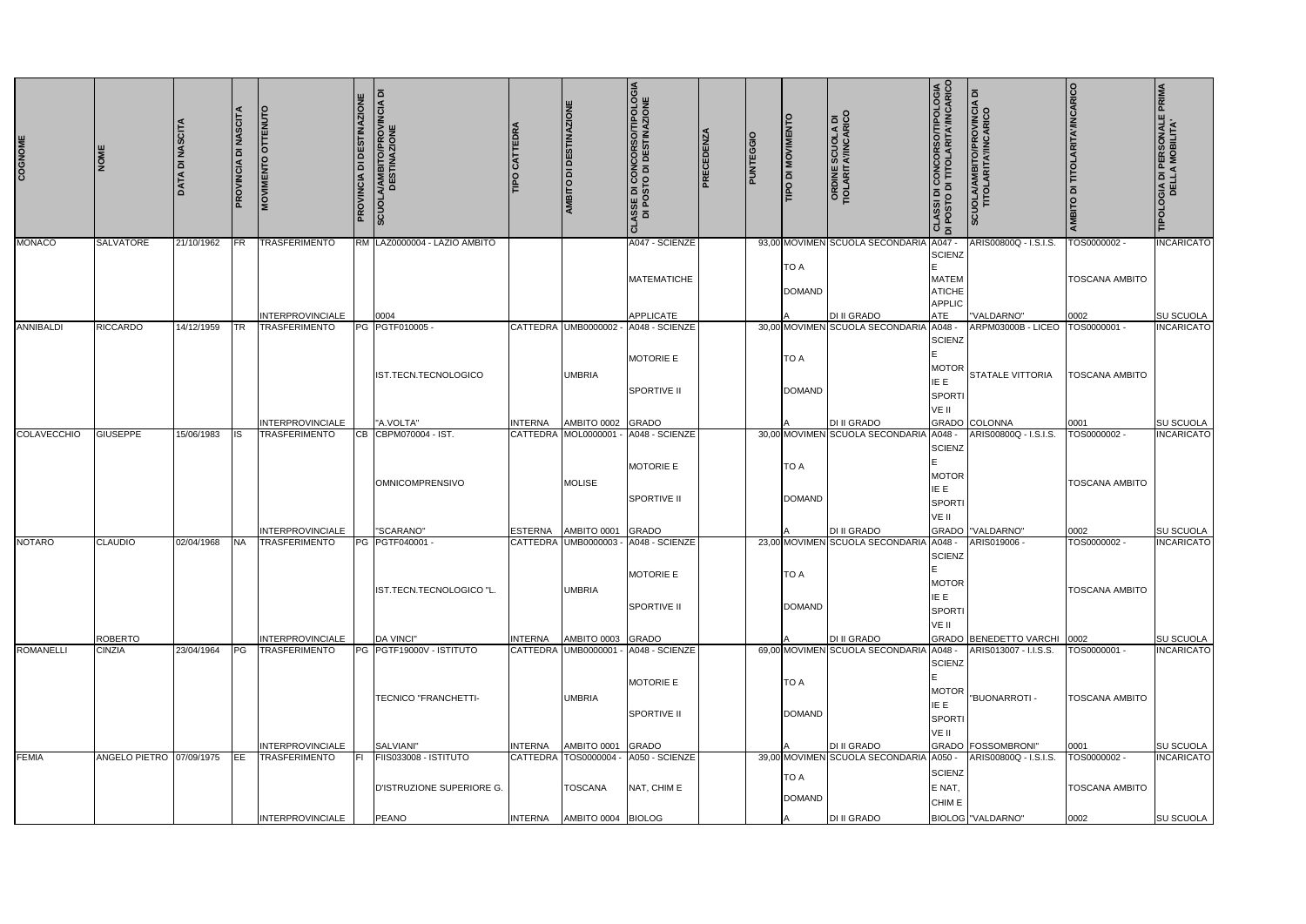| COGNOME          | <b>IMON</b>                     | DATA DI NASCIT. | PROVINCIA DI NASCITA | <b>MOVIMENTO OTTENUTO</b>                       | PROVINCIA DI DESTINAZIONE | SCUOLA/AMBITO/PROVINCIA DI<br>DESTINAZIONE | <b>TIPO CATTEDRA</b> | AMBITO DI DESTINAZIONE                   | <b>CLASSE DI CONCORSO/TIPOLOGIA<br/>DI POSTO DI DESTINAZIONE</b> | PRECEDENZA | PUNTEGGIO | <b><i>CINEMENTO DI MOVIMENTO</i></b> | <b>ORDINE SCUOLA DI<br/>TIOLARITA'/INCARICO</b>              | <b>CLASSI DI CONCORSO/TIPOLOGIA</b><br>DI POSTO DI TITOLARITA/INCARICO | SCUOLA/AMBITO/PROVINCIA DI<br>TITOLARITA'/INCARICO | <b>AMBITO DI TITOLARITA'/INCARICO</b> | TIPOLOGIA DI PERSONALE PRIMA<br>DELLA MOBILITA' |
|------------------|---------------------------------|-----------------|----------------------|-------------------------------------------------|---------------------------|--------------------------------------------|----------------------|------------------------------------------|------------------------------------------------------------------|------------|-----------|--------------------------------------|--------------------------------------------------------------|------------------------------------------------------------------------|----------------------------------------------------|---------------------------------------|-------------------------------------------------|
|                  |                                 |                 |                      |                                                 |                           |                                            |                      |                                          |                                                                  |            |           |                                      |                                                              |                                                                        |                                                    |                                       |                                                 |
| <b>MONACO</b>    | <b>SALVATORE</b>                | 21/10/1962      | <b>FR</b>            | <b>TRASFERIMENTO</b>                            |                           | RM LAZ0000004 - LAZIO AMBITO               |                      |                                          | A047 - SCIENZE<br><b>MATEMATICHE</b>                             |            |           | TO A<br><b>DOMAND</b>                | 93,00 MOVIMEN SCUOLA SECONDARIA                              | A047 -<br>SCIENZ<br><b>MATEM</b><br><b>ATICHE</b><br>APPLIC            | ARIS00800Q - I.S.I.S.                              | TOS0000002 -<br><b>TOSCANA AMBITO</b> | <b>INCARICATO</b>                               |
|                  |                                 |                 |                      | <b>INTERPROVINCIALE</b>                         |                           | 0004                                       |                      |                                          | <b>APPLICATE</b>                                                 |            |           |                                      | DI II GRADO                                                  | ATE                                                                    | "VALDARNO"                                         | 0002                                  | SU SCUOLA                                       |
| <b>ANNIBALDI</b> | <b>RICCARDO</b>                 | 14/12/1959      | <b>TR</b>            | TRASFERIMENTO                                   |                           | PG PGTF010005<br>IST.TECN.TECNOLOGICO      |                      | CATTEDRA UMB0000002<br><b>UMBRIA</b>     | A048 - SCIENZE<br><b>MOTORIE E</b><br><b>SPORTIVE II</b>         |            |           | TO A<br><b>DOMAND</b>                | 30,00 MOVIMEN SCUOLA SECONDARIA                              | A048<br>SCIENZ<br><b>MOTOR</b><br>IE E<br>SPORTI<br>VE II              | ARPM03000B - LICEO<br>STATALE VITTORIA             | TOS0000001-<br><b>TOSCANA AMBITO</b>  | <b>INCARICATO</b>                               |
| COLAVECCHIO      | <b>GIUSEPPE</b>                 | 15/06/1983      | IS.                  | <b>INTERPROVINCIALE</b><br><b>TRASFERIMENTO</b> | CB                        | "A.VOLTA"<br>CBPM070004 - IST.             | <b>INTERNA</b>       | AMBITO 0002 GRADO<br>CATTEDRA MOL0000001 | A048 - SCIENZE                                                   |            |           |                                      | DI II GRADO<br>30,00 MOVIMEN SCUOLA SECONDARIA               | GRADO<br>A048                                                          | <b>COLONNA</b><br>ARIS00800Q - I.S.I.S.            | 0001<br>TOS0000002-                   | SU SCUOLA<br><b>INCARICATO</b>                  |
|                  |                                 |                 |                      |                                                 |                           | <b>OMNICOMPRENSIVO</b>                     |                      | MOLISE                                   | <b>MOTORIE E</b><br><b>SPORTIVE II</b>                           |            |           | <b>TO A</b><br><b>DOMAND</b>         |                                                              | SCIENZ<br><b>MOTOR</b><br>IE E<br>SPORTI<br>VE II                      |                                                    | <b>TOSCANA AMBITO</b>                 |                                                 |
| <b>NOTARO</b>    | CLAUDIO                         | 02/04/1968      | <b>NA</b>            | <b>INTERPROVINCIALE</b><br><b>TRASFERIMENTO</b> |                           | "SCARANO"<br>PG PGTF040001 -               | <b>ESTERNA</b>       | AMBITO 0001<br>CATTEDRA UMB0000003       | GRADO<br>A048 - SCIENZE                                          |            |           |                                      | DI II GRADO<br>23,00 MOVIMEN SCUOLA SECONDARIA               | GRADO<br>A048 -                                                        | "VALDARNO"<br>ARIS019006 -                         | 0002<br>TOS0000002 -                  | SU SCUOLA<br><b>INCARICATO</b>                  |
|                  |                                 |                 |                      |                                                 |                           | IST.TECN.TECNOLOGICO "L.                   |                      | <b>UMBRIA</b>                            | MOTORIE E<br><b>SPORTIVE II</b>                                  |            |           | <b>TO A</b><br><b>DOMAND</b>         |                                                              | <b>SCIENZ</b><br>IE<br><b>MOTOR</b><br>IE E<br>SPORTI<br>VE II         |                                                    | <b>TOSCANA AMBITO</b>                 |                                                 |
| <b>ROMANELLI</b> | <b>ROBERTO</b><br><b>CINZIA</b> | 23/04/1964      | PG                   | <b>INTERPROVINCIALE</b><br><b>TRASFERIMENTO</b> |                           | DA VINCI"<br>PG PGTF19000V - ISTITUTO      | <b>INTERNA</b>       | AMBITO 0003 GRADO                        | CATTEDRA UMB0000001 - A048 - SCIENZE                             |            |           |                                      | <b>DI II GRADO</b><br>69,00 MOVIMEN SCUOLA SECONDARIA A048 - | <b>GRADO</b>                                                           | <b>BENEDETTO VARCHI</b><br>ARIS013007 - I.I.S.S.   | 0002<br>TOS0000001 -                  | <b>SU SCUOLA</b><br><b>INCARICATO</b>           |
|                  |                                 |                 |                      |                                                 |                           | <b>TECNICO "FRANCHETTI-</b>                |                      | <b>UMBRIA</b>                            | <b>MOTORIE E</b><br><b>SPORTIVE II</b>                           |            |           | TO A<br><b>DOMAND</b>                |                                                              | SCIENZ<br><b>MOTOR</b><br>IE E<br>SPORTI<br>VE II                      | "BUONARROTI -                                      | <b>TOSCANA AMBITO</b>                 |                                                 |
| <b>FEMIA</b>     | ANGELO PIETRO 07/09/1975        |                 | <b>IEE</b>           | <b>INTERPROVINCIALE</b><br><b>TRASFERIMENTO</b> | IFL.                      | SALVIANI"<br>FIIS033008 - ISTITUTO         | <b>INTERNA</b>       | AMBITO 0001<br>CATTEDRA TOS0000004 -     | GRADO<br>A050 - SCIENZE                                          |            |           |                                      | <b>DI II GRADO</b><br>39,00 MOVIMEN SCUOLA SECONDARIA        | GRADO<br>A050 -                                                        | <b>FOSSOMBRONI</b> "<br>ARIS00800Q - I.S.I.S.      | 0001<br>TOS0000002-                   | SU SCUOLA<br><b>INCARICATO</b>                  |
|                  |                                 |                 |                      |                                                 |                           | D'ISTRUZIONE SUPERIORE G.                  |                      | <b>TOSCANA</b>                           | NAT, CHIM E                                                      |            |           | TO A<br><b>DOMAND</b>                |                                                              | SCIENZ<br>E NAT,<br>CHIM E                                             |                                                    | <b>TOSCANA AMBITO</b>                 |                                                 |
|                  |                                 |                 |                      | INTERPROVINCIALE                                |                           | <b>PEANO</b>                               | <b>INTERNA</b>       | AMBITO 0004 BIOLOG                       |                                                                  |            |           |                                      | DI II GRADO                                                  |                                                                        | BIOLOG "VALDARNO"                                  | 0002                                  | SU SCUOLA                                       |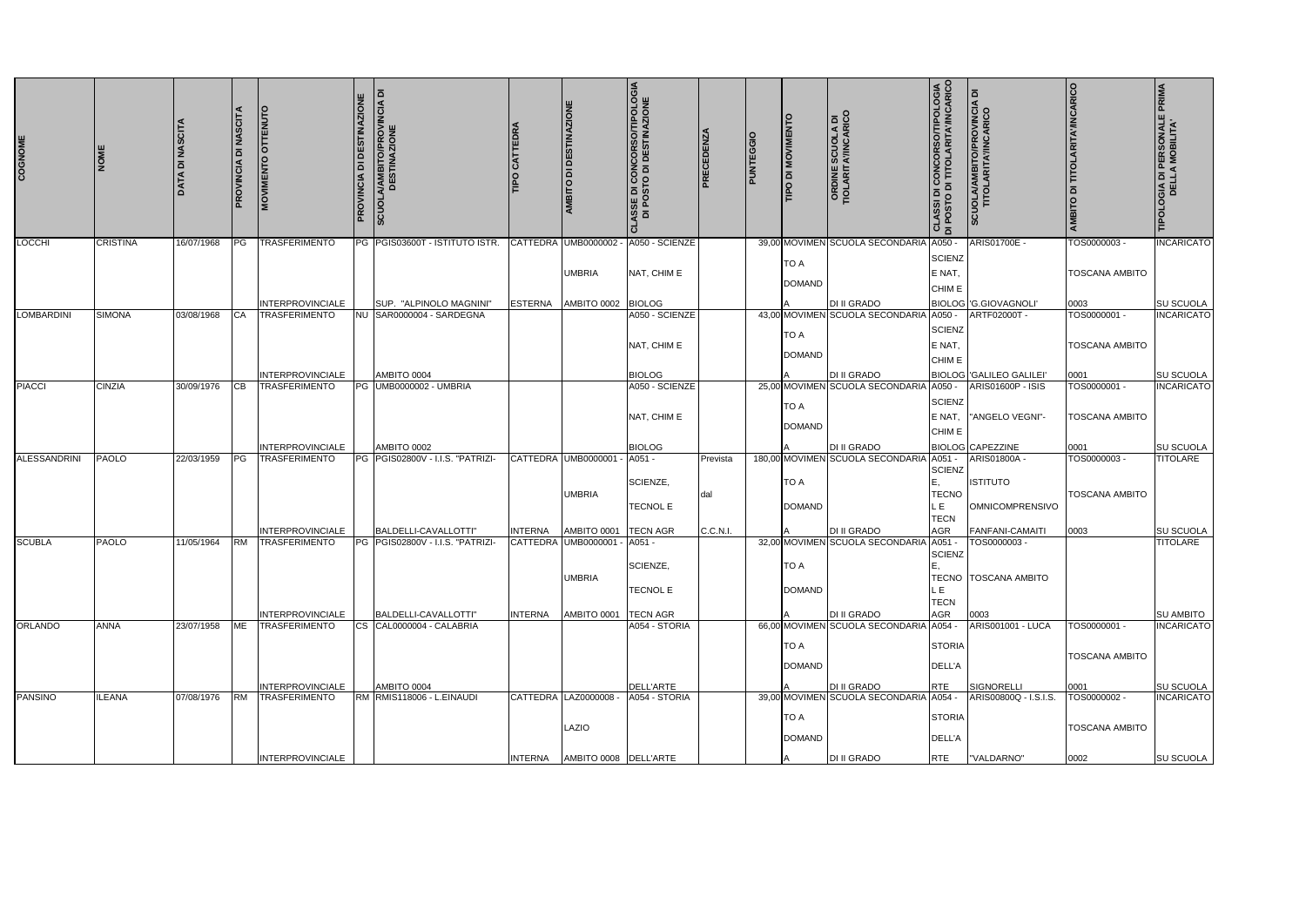| COGNOME             | <b>DE</b>       | <b>DATA DI NASCITA</b> | DI NASCITA<br>PROVINCIA | ENUTO<br><b>OTTI</b><br>ENTO<br><b>MOVIME</b>   | PROVINCIA DI DESTINAZIONE | SCUOLA/AMBITO/PROVINCIA DI<br>DESTINAZIONE            |                                   | AMBITO DI DESTINAZIONE                              | <b>.SSE DI CONCORSO/TIPOLOGIA</b><br>DI POSTO DI DESTINAZIONE | PRECEDENZA | <b>PUNTEGGIO</b> | <b>LIND DI MOVIMENT</b>      | <b>ORDINE SCUOLA DI<br/>TIOLARITA'/INCARICO</b>               | <b>CLASSI DI CONCORSO/TIPOLOGIA</b><br>DI POSTO DI TITOLARITA/INCARICO | <b>SCUOLA/AMBITO/PROVINCIA DI<br/>TITOLARITA/INCARICO</b> | <b>AMBITO DI TITOLARITA'/INCARICO</b> | TIPOLOGIA DI PERSONALE PRIMA<br>DELLA MOBILITA' |
|---------------------|-----------------|------------------------|-------------------------|-------------------------------------------------|---------------------------|-------------------------------------------------------|-----------------------------------|-----------------------------------------------------|---------------------------------------------------------------|------------|------------------|------------------------------|---------------------------------------------------------------|------------------------------------------------------------------------|-----------------------------------------------------------|---------------------------------------|-------------------------------------------------|
| LOCCHI              | <b>CRISTINA</b> | 16/07/1968             | PG                      | <b>TRASFERIMENTO</b>                            |                           | PG PGIS03600T - ISTITUTO ISTR.                        |                                   | CATTEDRA UMB0000002                                 | A050 - SCIENZE                                                |            |                  |                              | 39,00 MOVIMEN SCUOLA SECONDARIA                               | A050                                                                   | ARIS01700E -                                              | TOS0000003                            | <b>INCARICATO</b>                               |
|                     |                 |                        |                         |                                                 |                           |                                                       |                                   | <b>UMBRIA</b>                                       | NAT, CHIM E                                                   |            |                  | <b>TO A</b><br><b>DOMAND</b> |                                                               | <b>SCIENZ</b><br>E NAT,<br>CHIM E                                      |                                                           | <b>TOSCANA AMBITO</b>                 |                                                 |
|                     | <b>SIMONA</b>   |                        |                         | <b>INTERPROVINCIALE</b>                         | <b>NU</b>                 | SUP. "ALPINOLO MAGNINI"<br>SAR0000004 - SARDEGNA      | <b>ESTERNA</b>                    | AMBITO 0002 BIOLOG                                  |                                                               |            |                  |                              | <b>DI II GRADO</b><br>43,00 MOVIMEN SCUOLA SECONDARIA         |                                                                        | BIOLOG G.GIOVAGNOLI                                       | 0003                                  | SU SCUOLA                                       |
| LOMBARDINI          |                 | 03/08/1968             | <b>I</b> CA             | TRASFERIMENTO                                   |                           |                                                       |                                   |                                                     | A050 - SCIENZE<br>NAT, CHIM E                                 |            |                  | <b>TO A</b><br><b>DOMAND</b> |                                                               | A050 -<br>SCIENZ<br>E NAT,<br>CHIM E                                   | ARTF02000T -                                              | TOS0000001-<br><b>TOSCANA AMBITO</b>  | <b>INCARICATO</b>                               |
|                     |                 |                        |                         | <b>INTERPROVINCIALE</b>                         |                           | AMBITO 0004                                           |                                   |                                                     | <b>BIOLOG</b>                                                 |            |                  |                              | <b>DI II GRADO</b>                                            |                                                                        | BIOLOG GALILEO GALILEI                                    | 0001                                  | SU SCUOLA                                       |
| <b>PIACCI</b>       | <b>CINZIA</b>   | 30/09/1976             | IСB                     | <b>TRASFERIMENTO</b>                            | PG                        | <b>UMB0000002 - UMBRIA</b>                            |                                   |                                                     | A050 - SCIENZE<br>NAT, CHIM E                                 |            |                  | <b>TO A</b><br><b>DOMAND</b> | 25,00 MOVIMEN SCUOLA SECONDARIA A050 -                        | SCIENZ<br>E NAT.<br>CHIM E                                             | ARIS01600P - ISIS<br>"ANGELO VEGNI"-                      | TOS0000001 -<br>TOSCANA AMBITO        | <b>INCARICATO</b>                               |
| <b>ALESSANDRINI</b> | <b>PAOLO</b>    | 22/03/1959             | PG                      | <b>INTERPROVINCIALE</b><br><b>TRASFERIMENTO</b> |                           | AMBITO 0002<br>PG PGIS02800V - I.I.S. "PATRIZI-       |                                   | CATTEDRA UMB0000001                                 | <b>BIOLOG</b><br>A051 -                                       | Prevista   |                  |                              | <b>DI II GRADO</b><br>180,00 MOVIMEN SCUOLA SECONDARIA A051 - |                                                                        | <b>BIOLOG</b> CAPEZZINE<br>ARIS01800A -                   | 0001<br>TOS0000003 -                  | SU SCUOLA<br><b>TITOLARE</b>                    |
|                     |                 |                        |                         |                                                 |                           |                                                       |                                   | <b>UMBRIA</b>                                       | SCIENZE,<br><b>TECNOL E</b>                                   | dal        |                  | <b>TO A</b><br><b>DOMAND</b> |                                                               | SCIENZ<br><b>TECNO</b><br>. E<br><b>TECN</b>                           | <b>ISTITUTO</b><br><b>OMNICOMPRENSIVO</b>                 | <b>TOSCANA AMBITO</b>                 |                                                 |
|                     |                 |                        |                         | <b>INTERPROVINCIALE</b>                         |                           | BALDELLI-CAVALLOTTI"                                  | <b>INTERNA</b>                    | AMBITO 0001                                         | <b>TECN AGR</b>                                               | C.C.N.I.   |                  |                              | <b>DI II GRADO</b>                                            | <b>AGR</b>                                                             | <b>FANFANI-CAMAITI</b>                                    | 0003                                  | SU SCUOLA                                       |
| <b>SCUBLA</b>       | <b>PAOLO</b>    | 11/05/1964             | <b>RM</b>               | TRASFERIMENTO<br><b>INTERPROVINCIALE</b>        | IPG.                      | PGIS02800V - I.I.S. "PATRIZI-<br>BALDELLI-CAVALLOTTI" | <b>CATTEDRA</b><br><b>INTERNA</b> | UMB0000001<br><b>UMBRIA</b><br>AMBITO 0001 TECN AGR | A051 -<br>SCIENZE,<br><b>TECNOL E</b>                         |            |                  | <b>TO A</b><br><b>DOMAND</b> | 32,00 MOVIMEN SCUOLA SECONDARIA<br>DI II GRADO                | A051<br>SCIENZ<br>L E<br><b>TECN</b><br><b>AGR</b>                     | TOS0000003-<br><b>TECNO TOSCANA AMBITO</b><br>0003        |                                       | <b>TITOLARE</b><br><b>SU AMBITO</b>             |
| <b>ORLANDO</b>      | <b>ANNA</b>     | 23/07/1958             | <b>ME</b>               | <b>TRASFERIMENTO</b>                            | ICS.                      | CAL0000004 - CALABRIA                                 |                                   |                                                     | A054 - STORIA                                                 |            |                  |                              | 66,00 MOVIMEN SCUOLA SECONDARIA A054 -                        |                                                                        | <b>ARIS001001 - LUCA</b>                                  | TOS0000001 -                          | <b>INCARICATO</b>                               |
|                     |                 |                        |                         | <b>INTERPROVINCIALE</b>                         |                           | AMBITO 0004                                           |                                   |                                                     | DELL'ARTE                                                     |            |                  | TO A<br><b>DOMAND</b>        | <b>DI II GRADO</b>                                            | <b>STORIA</b><br>DELL'A<br><b>RTE</b>                                  | SIGNORELLI                                                | <b>TOSCANA AMBITO</b><br>0001         | <b>SU SCUOLA</b>                                |
| <b>PANSINO</b>      | <b>ILEANA</b>   | 07/08/1976             | <b>IRM</b>              | <b>TRASFERIMENTO</b>                            |                           | RM RMIS118006 - L.EINAUDI                             |                                   | CATTEDRA LAZ0000008 -                               | A054 - STORIA                                                 |            |                  |                              | 39.00 MOVIMEN SCUOLA SECONDARIA A054 -                        |                                                                        | ARIS00800Q - I.S.I.S.                                     | TOS0000002 -                          | <b>INCARICATO</b>                               |
|                     |                 |                        |                         |                                                 |                           |                                                       |                                   | LAZIO                                               |                                                               |            |                  | <b>TO A</b><br><b>DOMAND</b> |                                                               | <b>STORIA</b><br>DELL'A                                                |                                                           | <b>TOSCANA AMBITO</b>                 |                                                 |
|                     |                 |                        |                         | <b>INTERPROVINCIALE</b>                         |                           |                                                       |                                   | INTERNA AMBITO 0008 DELL'ARTE                       |                                                               |            |                  |                              | DI II GRADO                                                   | <b>RTE</b>                                                             | "VALDARNO"                                                | 0002                                  | SU SCUOLA                                       |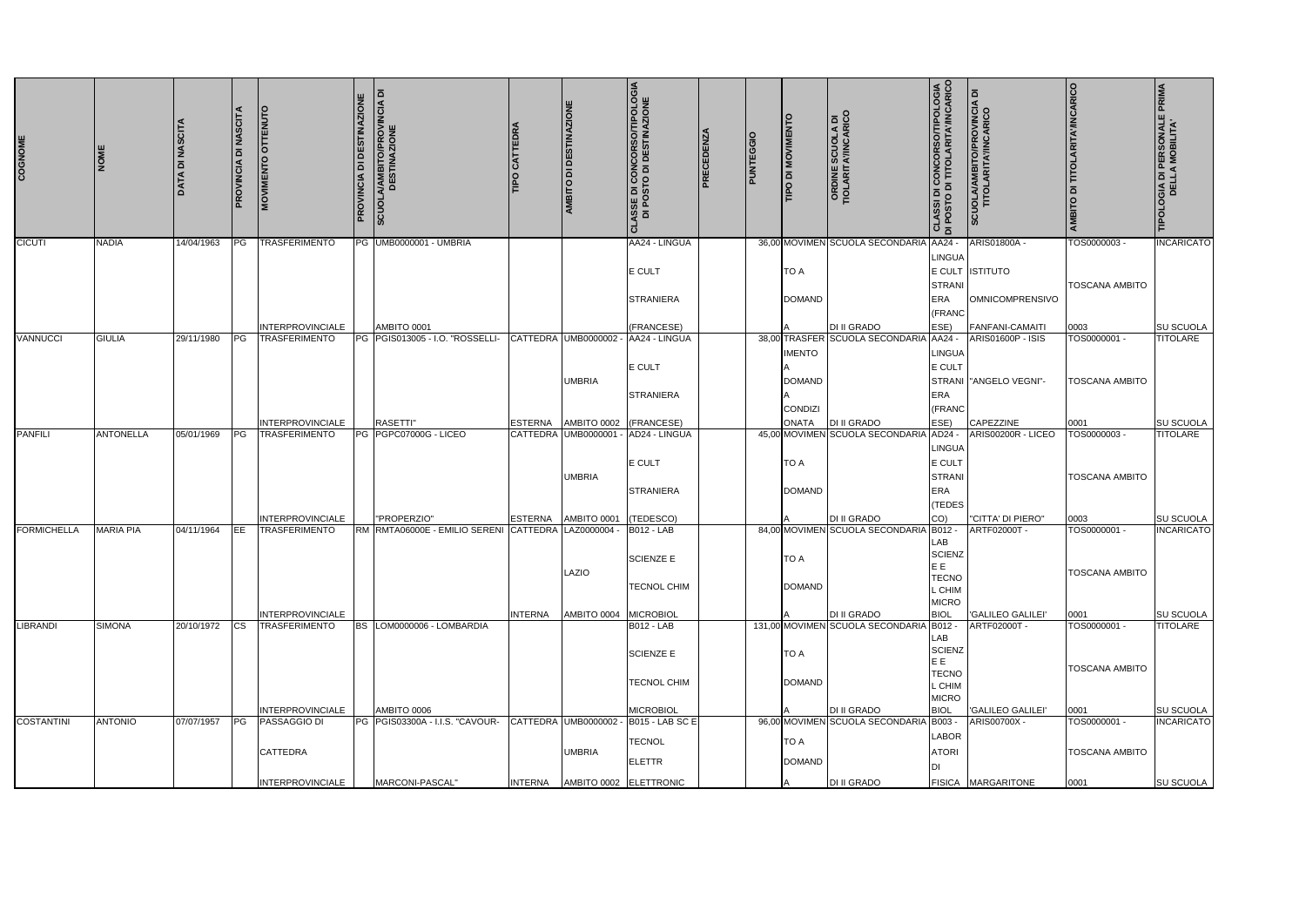| COGNOME            | <b>IMON</b>      | <b>DATA DI NASCITA</b> | <b>DI NASCITA</b><br>PROVINCIA | ENUTO<br>l5<br>$\circ$<br><b>MOVIMENT</b>                                             | <b>DESTINAZIONE</b><br><b>PROVINCIA DI</b> | <b>SCUOLA/AMBITO/PROVINCIA DI<br/>DESTINAZIONE</b>                                    |                | <b>AMBITO DI DESTINAZIONE</b>        | <b>ASSE DI CONCORSO/TIPOLOGIA<br/>DI POSTO DI DESTINAZIONE</b><br><u>اح</u>                            | PRECEDENZA | <b>PUNTEGGIO</b> | TIPO DI MOVIMENT               | <b>ORDINE SCUOLA DI<br/>TIOLARITA'/INCARICO</b>                      | <b>CLASSI DI CONCORSO/TIPOLOGIA</b><br>AID POSTO DI TITOLARITA/INCARICO             | SCUOLA/AMBITO/PROVINCIA DI<br>TITOLARITA/INCARICO                       | <b>AMBITO DI TITOLARITA'/INCARICO</b>                 | TIPOLOGIA DI PERSONALE PRIMA<br>DELLA MOBILITA'           |
|--------------------|------------------|------------------------|--------------------------------|---------------------------------------------------------------------------------------|--------------------------------------------|---------------------------------------------------------------------------------------|----------------|--------------------------------------|--------------------------------------------------------------------------------------------------------|------------|------------------|--------------------------------|----------------------------------------------------------------------|-------------------------------------------------------------------------------------|-------------------------------------------------------------------------|-------------------------------------------------------|-----------------------------------------------------------|
| <b>CICUTI</b>      | <b>NADIA</b>     | 14/04/1963             | IPG.                           | <b>TRASFERIMENTO</b>                                                                  |                                            | PG UMB0000001 - UMBRIA                                                                |                |                                      | AA24 - LINGUA<br>E CULT<br><b>STRANIERA</b>                                                            |            |                  | <b>TO A</b><br><b>DOMAND</b>   | 36,00 MOVIMEN SCUOLA SECONDARIA AA24 -                               | LINGUA<br><b>STRANI</b><br><b>ERA</b><br>(FRANC                                     | ARIS01800A<br>E CULT ISTITUTO<br><b>OMNICOMPRENSIVO</b>                 | TOS0000003-<br><b>TOSCANA AMBITO</b>                  | <b>INCARICATO</b>                                         |
| <b>VANNUCCI</b>    | <b>GIULIA</b>    | 29/11/1980             | PG                             | <b>INTERPROVINCIALE</b><br><b>TRASFERIMENTO</b>                                       |                                            | AMBITO 0001<br>PG PGIS013005 - I.O. "ROSSELLI-                                        |                | CATTEDRA UMB0000002<br><b>UMBRIA</b> | (FRANCESE)<br>AA24 - LINGUA<br>E CULT                                                                  |            |                  | <b>IMENTO</b><br><b>DOMAND</b> | <b>DI II GRADO</b><br>38,00 TRASFER SCUOLA SECONDARIA AA24 -         | ESE)<br>LINGUA<br>E CULT                                                            | <b>FANFANI-CAMAITI</b><br>ARIS01600P - ISIS<br>STRANI   "ANGELO VEGNI"- | 0003<br>TOS0000001 -<br><b>TOSCANA AMBITO</b>         | SU SCUOLA<br><b>TITOLARE</b>                              |
| <b>PANFILI</b>     | <b>ANTONELLA</b> | 05/01/1969             | <b>IPG</b>                     | <b>INTERPROVINCIALE</b><br><b>TRASFERIMENTO</b>                                       |                                            | RASETTI"<br>PG PGPC07000G - LICEO                                                     | <b>ESTERNA</b> | AMBITO 0002<br>CATTEDRA UMB0000001   | <b>STRANIERA</b><br>(FRANCESE)<br>AD24 - LINGUA                                                        |            |                  | <b>CONDIZI</b><br><b>ONATA</b> | <b>DI II GRADO</b><br>45,00 MOVIMEN SCUOLA SECONDARIA                | ERA<br>(FRANC<br>ESE)<br>AD24 -<br><b>LINGUA</b>                                    | CAPEZZINE<br>ARIS00200R - LICEO                                         | 0001<br>TOS0000003 -                                  | <b>SU SCUOLA</b><br><b>TITOLARE</b>                       |
|                    |                  |                        |                                | <b>INTERPROVINCIALE</b>                                                               |                                            | "PROPERZIO"                                                                           | <b>ESTERNA</b> | <b>UMBRIA</b><br>AMBITO 0001         | E CULT<br><b>STRANIERA</b><br>(TEDESCO)                                                                |            |                  | <b>TO A</b><br><b>DOMAND</b>   | <b>DI II GRADO</b>                                                   | <b>E CULT</b><br><b>STRANI</b><br><b>ERA</b><br>(TEDES<br>CO)                       | "CITTA' DI PIERO"                                                       | <b>TOSCANA AMBITO</b><br>0003                         | SU SCUOLA                                                 |
| <b>FORMICHELLA</b> | <b>MARIA PIA</b> | 04/11/1964             | <b>IEE</b>                     | <b>TRASFERIMENTO</b><br><b>INTERPROVINCIALE</b>                                       |                                            | RM RMTA06000E - EMILIO SERENI CATTEDRA LAZ0000004 -                                   | <b>INTERNA</b> | LAZIO<br>AMBITO 0004                 | <b>B012 - LAB</b><br><b>SCIENZE E</b><br>TECNOL CHIM<br><b>MICROBIOL</b>                               |            |                  | <b>TO A</b><br><b>DOMAND</b>   | 84,00 MOVIMEN SCUOLA SECONDARIA B012 -<br>DI II GRADO                | LAB<br><b>SCIENZ</b><br>EE<br><b>TECNO</b><br>L CHIM<br><b>MICRO</b><br><b>BIOL</b> | ARTF02000T -<br><b>GALILEO GALILEI'</b>                                 | TOS0000001 -<br><b>TOSCANA AMBITO</b><br>0001         | <b>INCARICATO</b><br><b>SU SCUOLA</b>                     |
| <b>LIBRANDI</b>    | <b>SIMONA</b>    | 20/10/1972             | <b>CS</b>                      | <b>TRASFERIMENTO</b>                                                                  | BS                                         | LOM0000006 - LOMBARDIA                                                                |                |                                      | <b>B012 - LAB</b><br><b>SCIENZE E</b><br>TECNOL CHIM                                                   |            |                  | <b>TO A</b><br><b>DOMAND</b>   | 131,00 MOVIMEN SCUOLA SECONDARIA B012 -                              | LAB<br><b>SCIENZ</b><br>E E<br><b>TECNO</b><br>L CHIM<br><b>MICRO</b>               | ARTF02000T -                                                            | TOS0000001 -<br><b>TOSCANA AMBITO</b>                 | <b>TITOLARE</b>                                           |
| <b>COSTANTINI</b>  | <b>ANTONIO</b>   | 07/07/1957             | PG                             | INTERPROVINCIALE<br><b>PASSAGGIO DI</b><br><b>CATTEDRA</b><br><b>INTERPROVINCIALE</b> |                                            | AMBITO 0006<br>PG PGIS03300A - I.I.S. "CAVOUR- CATTEDRA UMB0000002<br>MARCONI-PASCAL" | <b>INTERNA</b> | <b>UMBRIA</b>                        | <b>MICROBIOL</b><br><b>B015 - LAB SC E</b><br><b>TECNOL</b><br><b>ELETTR</b><br>AMBITO 0002 ELETTRONIC |            |                  | <b>TO A</b><br><b>DOMAND</b>   | DI II GRADO<br>96,00 MOVIMEN SCUOLA SECONDARIA B003 -<br>DI II GRADO | <b>BIOL</b><br><b>LABOR</b><br><b>ATORI</b><br>וח                                   | <b>GALILEO GALILEI'</b><br>ARIS00700X -<br>FISICA MARGARITONE           | 0001<br>TOS0000001 -<br><b>TOSCANA AMBITO</b><br>0001 | <b>SU SCUOLA</b><br><b>INCARICATO</b><br><b>SU SCUOLA</b> |